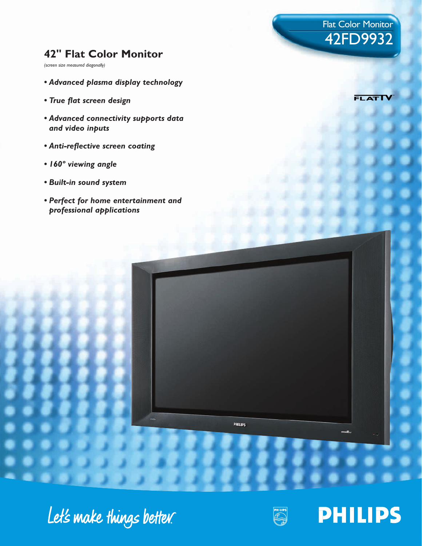# **42" Flat Color Monitor**

*(screen size measured diagonally)*

- *Advanced plasma display technology*
- *True flat screen design*
- *Advanced connectivity supports data and video inputs*
- *Anti-reflective screen coating*
- *160º viewing angle*
- *Built-in sound system*
- *Perfect for home entertainment and professional applications*

**FLATI** 

Flat Color Monitor

42FD9932

# Let's make things better.



PHILIPS